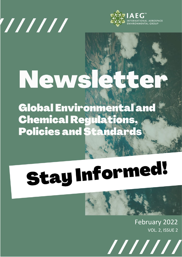



# News  $\triangle$

**Global Environmental and Chemical Regulations, Policies and Standards** 

# **Stay Informed!**

February 2022 VOL. 2, ISSUE 2

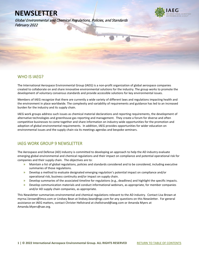Global Environmental and Chemical Regulations, Policies, and Standards February 2022



# WHO IS IAEG?

l

The International Aerospace Environmental Group (IAEG) is a non-profit organization of global aerospace companies created to collaborate on and share innovative environmental solutions for the industry. The group works to promote the development of voluntary consensus standards and provide accessible solutions for key environmental issues.

Members of IAEG recognize that there are currently a wide variety of different laws and regulations impacting health and the environment in place worldwide. The complexity and variability of requirements and guidance has led to an increased burden for the industry and its supply chain.

IAEG work groups address such issues as chemical material declarations and reporting requirements, the development of alternative technologies and greenhouse gas reporting and management. They create a forum for diverse and often competitive businesses to come together and share information on industry-wide opportunities for the promotion and adoption of global environmental requirements. In addition, IAEG provides opportunities for wider education on environmental issues and the supply chain via its meetings agendas and bespoke seminars.

# IAEG WORK GROUP 9 NEWSLETTER

The Aerospace and Defense (AD) industry is committed to developing an approach to help the AD industry evaluate emerging global environmental and chemical regulations and their impact on compliance and potential operational risk for companies and their supply chain. The objectives are to:

- **»** Maintain a list of global regulations, policies and standards considered and to be considered, including executive summaries of those regulations.
- **»** Develop a method to evaluate designated emerging regulation's potential impact on compliance and/or operational risk, business continuity and/or impact on supply chain.
- **»** Develop summaries of the associated timeline for regulations (e.g., deadlines) and highlight the specific impacts.
- **»** Develop communication materials and conduct informational webinars, as appropriate, for member companies and/or AD supply chain companies, as appropriate.

This Newsletter summarizes environmental and chemical regulations relevant to the AD industry. Contact Lisa Brown at myrna.l.brown@lmco.com or Lindsey Bean at lindsey.bean@ngc.com for any questions on this Newsletter. For general assistance on IAEG matters, contact Christer Hellstrand at chellstrand@iaeg.com or Amanda Myers at Amanda.Myers@sae.org.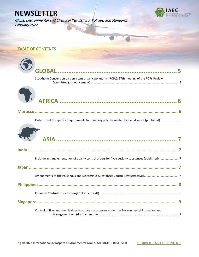Global Environmental and Chemical Regulations, Policies, and Standards February 2022



# <span id="page-2-0"></span>TABLE OF CONTENTS

| Stockholm Convention on persistent organic pollutants (POPs): 17th meeting of the POPs Review     |  |  |  |
|---------------------------------------------------------------------------------------------------|--|--|--|
|                                                                                                   |  |  |  |
|                                                                                                   |  |  |  |
| Order to set the specific requirements for handling polychlorinated biphenyl waste (published)  6 |  |  |  |
|                                                                                                   |  |  |  |
|                                                                                                   |  |  |  |
| India delays implementation of quality control orders for five specialty substances (published)7  |  |  |  |
|                                                                                                   |  |  |  |
|                                                                                                   |  |  |  |
|                                                                                                   |  |  |  |
|                                                                                                   |  |  |  |
|                                                                                                   |  |  |  |
| Control of five new chemicals as hazardous substances under the Environmental Protection and      |  |  |  |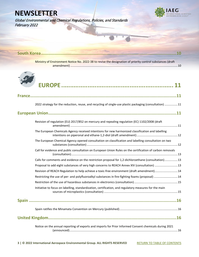Global Environmental and Chemical Regulations, Policies, and Standards February 2022



| Ministry of Environment Notice No. 2022-38 to revise the designation of priority control substances (draft |  |  |  |
|------------------------------------------------------------------------------------------------------------|--|--|--|
|                                                                                                            |  |  |  |
|                                                                                                            |  |  |  |
| 2022 strategy for the reduction, reuse, and recycling of single-use plastic packaging (consultation) 11    |  |  |  |
|                                                                                                            |  |  |  |
| Revision of regulation (EU) 2017/852 on mercury and repealing regulation (EC) 1102/2008 (draft             |  |  |  |
| The European Chemicals Agency received intentions for new harmonized classification and labelling          |  |  |  |
| The European Chemical Agency opened consultation on classification and labelling consultation on two       |  |  |  |
| Call for evidence and public consultation on European Union Rules on the certification of carbon removals  |  |  |  |
| Calls for comments and evidence on the restriction proposal for 1,2-dichloroethane (consultation)13        |  |  |  |
| Proposal to add eight substances of very high concerns to REACH Annex XIV (consultation) 13                |  |  |  |
| Revision of REACH Regulation to help achieve a toxic-free environment (draft amendment)14                  |  |  |  |
| Restricting the use of per- and polyfluoroalkyl substances in fire-fighting foams (proposal) 14            |  |  |  |
|                                                                                                            |  |  |  |
| Initiative to focus on labelling, standardization, certification, and regulatory measures for the main     |  |  |  |
|                                                                                                            |  |  |  |
|                                                                                                            |  |  |  |
|                                                                                                            |  |  |  |
| Notice on the annual reporting of exports and imports for Prior Informed Consent chemicals during 2021     |  |  |  |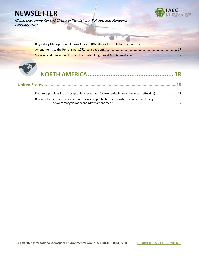

Global Environmental and Chemical Regulations, Policies, and Standards February 2022

| Regulatory Management Options Analysis (RMOA) for four substances (published) 17 |
|----------------------------------------------------------------------------------|
|                                                                                  |
|                                                                                  |

# **[NORTH AMERICA.................................................](#page-18-1) [18](#page-18-1)**

| Final rule provides list of acceptable alternatives for ozone-depleting substances (effective)  18 |  |
|----------------------------------------------------------------------------------------------------|--|
| Revision to the risk determination for cyclic aliphatic bromide cluster chemicals, including       |  |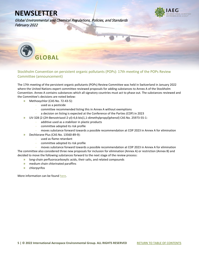Global Environmental and Chemical Regulations, Policies, and Standards February 2022

<span id="page-5-0"></span>

<span id="page-5-1"></span>Stockholm Convention on persistent organic pollutants (POPs): 17th meeting of the POPs Review Committee (announcement)

The 17th meeting of the persistent organic pollutants (POPs) Review Committee was held in Switzerland in January 2022 where the United Nations expert committee reviewed proposals for adding substances to Annex A of the Stockholm Convention. Annex A contains substances which all signatory countries must act to phase out. The substances reviewed and the Committee's decisions are noted below:

- **»** Methoxychlor (CAS No. 72-43-5):
	- **–** used as a pesticide
		- **–** committee recommended listing this in Annex A without exemptions
	- **–** a decision on listing is expected at the Conference of the Parties (COP) in 2023
- **»** UV-328 (2-(2H-Benzotriazol-2-yl)-4,6-bis(1,1-dimethylpropyl)phenol) CAS No. 25973-55-1:
	- **–** additive used as a stabilizer in plastic products
		- **–** committee adopted its risk profile
		- **–** moves substance forward towards a possible recommendation at COP 2023 in Annex A for elimination
- **»** Dechlorane Plus (CAS No. 13560-89-9):
	- **–** used as flame retardant
	- **–** committee adopted its risk profile

**–** moves substance forward towards a possible recommendation at COP 2023 in Annex A for elimination The committee also considered three new proposals for inclusion for elimination (Annex A) or restriction (Annex B) and decided to move the following substances forward to the next stage of the review process:

- **»** long-chain perfluorocarboxylic acids, their salts, and related compounds
- **»** medium chain chlorinated paraffins
- **»** chlorpyrifos

More information can be foun[d here.](http://www.brsmeas.org/Implementation/MediaResources/PressReleases/POPRC17PressRelease/tabid/9089/language/en-US/Default.aspx)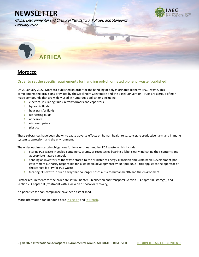**TIONAL AEROSPACE** 

Global Environmental and Chemical Regulations, Policies, and Standards February 2022

<span id="page-6-0"></span>

# <span id="page-6-1"></span>**Morocco**

## <span id="page-6-2"></span>Order to set the specific requirements for handling polychlorinated biphenyl waste (published)

On 20 January 2022, Morocco published an order for the handling of polychlorinated biphenyl (PCB) waste. This complements the provisions provided by the Stockholm Convention and the Basel Convention. PCBs are a group of manmade compounds that are widely used in numerous applications including:

- **»** electrical insulating fluids in transformers and capacitors
- **»** hydraulic fluids
- **»** heat transfer fluids
- **»** lubricating fluids
- **»** adhesives
- **»** oil-based paints
- **»** plastics

These substances have been shown to cause adverse effects on human health (e.g., cancer, reproductive harm and immune system suppression) and the environment.

The order outlines certain obligations for legal entities handling PCB waste, which include:

- **»** storing PCB waste in sealed containers, drums, or receptacles bearing a label clearly indicating their contents and appropriate hazard symbols
- **»** sending an inventory of the waste stored to the Minister of Energy Transition and Sustainable Development (the government authority responsible for sustainable development) by 20 April 2022 – this applies to the operator of the storage facility for PCB waste
- **»** treating PCB waste in such a way that no longer poses a risk to human health and the environment

Further requirements for the order are set in Chapter II (collection and transport); Section 1, Chapter III (storage); and Section 2, Chapter III (treatment with a view on disposal or recovery).

No penalties for non-compliance have been established.

More information can be found her[e in English](https://www.iaeg.com/binaries/content/assets/iaeg-newsletters/2022/02/mar_order-for-handling-pcb-waste_english.pdf) an[d in French.](https://www.iaeg.com/binaries/content/assets/iaeg-newsletters/2022/02/mar_order-for-handling-pcb-waste.pdf)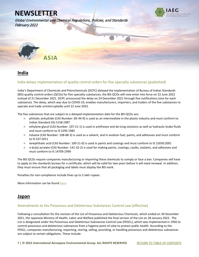

Global Environmental and Chemical Regulations, Policies, and Standards February 2022

<span id="page-7-0"></span>

# <span id="page-7-1"></span>**India**

### <span id="page-7-2"></span>India delays implementation of quality control orders for five specialty substances (published)

India's Department of Chemicals and Petrochemicals (DCPC) delayed the implementation of Bureau of Indian Standards (BIS) quality control orders (QCOs) for five specialty substances; the BIS QCOs will now enter into force on 22 June 2022 instead of 21 December 2021. DCPC announced the delay on 24 December 2021 through five notifications (one for each substance). The delay, which was due to COVID-19, enables manufacturers, importers, and traders of the five substances to operate and trade uninterruptedly until 22 June 2022.

The five substances that are subject to a delayed implementation date for the BIS QCOs are:

- **»** phthalic anhydride (CAS Number: 85-44-9) is used as an intermediate in the plastic industry and must conform to Indian Standard (IS) 5158:1987
- **»** ethylene glycol (CAS Number: 107-21-1) is used in antifreeze and de-icing solutions as well as hydraulic brake fluids and must conform to IS 5295:1985
- **»** toluene (CAS Number: 108-88-3) is used as a solvent, and in aviation fuel, paints, and adhesives and must conform to IS 537:2011
- **»** terephthalic acid (CAS Number: 100-21-0) is used in paints and coatings and must conform to IS 15030:2001
- **»** n-butyl acrylate (CAS Number: 141-32-2) is used for making paints, coatings, caulks, sealants, and adhesives and must conform to IS 14709:1999

The BIS QCOs require companies manufacturing or importing these chemicals to comply or face a ban. Companies will have to apply to the standards bureau for a certificate, which will be valid for two years before it will need renewal. In addition, they must ensure that all packaging and labels must display the BIS mark.

Penalties for non-compliance include fines up to 5 lakh rupees.

More information can be foun[d here.](https://www.iaeg.com/binaries/content/assets/iaeg-newsletters/2022/02/ind_qcos-for-five-substances.pdf)

# <span id="page-7-3"></span>**Japan**

### <span id="page-7-4"></span>Amendments to the Poisonous and Deleterious Substances Control Law (effective)

Following a consultation for the revision of the List of Poisonous and Deleterious Chemicals, which ended on 30 December 2021, the Japanese Ministry of Health, Labor and Welfare published the final version of the List on 28 January 2022. The List is designated under the Poisonous and Deleterious Substances Control Law (PDSCL), which was implemented in 1950 to control poisonous and deleterious substances from a hygiene point of view to protect public health. According to the PDSCL, companies manufacturing, importing, storing, selling, providing, or handling poisonous and deleterious substances are subject to certain obligations. These include: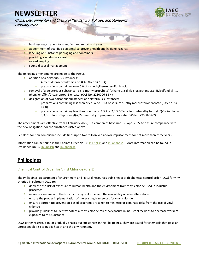

Global Environmental and Chemical Regulations, Policies, and Standards February 2022

- **»** business registration for manufacture, import and sales
- **»** appointment of qualified personnel to prevent health and hygiene hazards
- **»** labelling on substance packaging and containers
- **»** providing a safety data sheet
- **»** record keeping
- **»** sound disposal management

The following amendments are made to the PDSCL:

- **»** addition of a deleterious substances:
	- **–** 4-methylbenzenesulfonic acid (CAS No. 104-15-4)
	- **–** preparations containing over 5% of 4-methylbenzenesulfonic acid
- **»** removal of a deleterious substance: bis(2-methylpropyl)3,3'-[ethane-1,2-diylbis(oxyethane-2,1-diylsulfandiyl-4,1 phenylene)]bis(2-cyanoprop-2-enoate) (CAS No. 2260706-63-4)
- **»** designation of two poisonous substances as deleterious substances:
	- **–** preparations containing less than or equal to 0.1% of sodium o-(ethylmercurithio)benzoate [CAS No. 54- 64-8]
	- **–** preparations containing less than or equal to 1.5% of 2,3,5,6-Tetrafluoro-4-methylbenzyl (Z)-3-(2-chloro-3,3,3-trifluoro-1-propenyl)-2,2-dimethylcyclopropanecarboxylate (CAS No. 79538-32-2).

The amendments are effective from 1 February 2022; but companies have until 30 April 2022 to ensure compliance with the new obligations for the substances listed above.

Penalties for non-compliance include fines up to two million yen and/or imprisonment for not more than three years.

Information can be found in the Cabinet Order No. 36 [in English](https://www.iaeg.com/binaries/content/assets/iaeg-newsletters/2022/02/jpn_cabinet-order-for-amendments-to-the-pdscl_english.pdf) an[d in Japanese.](https://www.iaeg.com/binaries/content/assets/iaeg-newsletters/2022/02/jpn_cabinet-order-for-amendments-to-the-pdscl.pdf) More information can be found in Ordinance No. 1[7 in English](https://www.iaeg.com/binaries/content/assets/iaeg-newsletters/2022/02/jpn_ministry-ordinance-for-amendments-to-the-pdscl_english.pdf) an[d in Japanese.](https://www.iaeg.com/binaries/content/assets/iaeg-newsletters/2022/02/jpn_ministry-ordinance-for-amendments-to-the-pdscl.pdf)

# <span id="page-8-0"></span>**Philippines**

### <span id="page-8-1"></span>Chemical Control Order for Vinyl Chloride (draft)

The Philippines' Department of Environment and Natural Resources published a draft chemical control order (CCO) for vinyl chloride in February 2022 to:

- **»** decrease the risk of exposure to human health and the environment from vinyl chloride used in industrial processes
- **»** increase awareness of the toxicity of vinyl chloride, and the availability of safer alternatives
- **»** ensure the proper implementation of the existing framework for vinyl chloride
- **»** ensure appropriate prevention-based programs are taken to minimize or eliminate risks from the use of vinyl chloride
- **»** provide guidelines to identify potential vinyl chloride release/exposure in industrial facilities to decrease workers' exposure to this substance

CCOs either restrict, ban, or gradually phases out substances in the Philippines. They are issued for chemicals that pose an unreasonable risk to public health and the environment.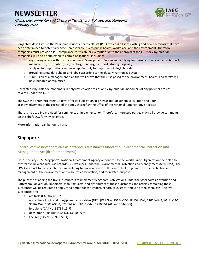

Global Environmental and Chemical Regulations, Policies, and Standards February 2022

Vinyl chloride is listed in the Philippines Priority Chemicals List (PCL), which is a list of existing and new chemicals that have been determined to potentially pose unreasonable risk to public health, workplace, and the environment. Therefore, companies must provide a PCL compliance certificate or exemption. With the approval of the CCO for vinyl chloride, companies will also be subjected to certain obligations, including:

- **»** registering online with the Environmental Management Bureau and applying for permits for any activities (import, manufacture, distribution, use, treating, handling, transport, storing, disposal)
- **»** applying for importation clearance (applies only for importers of vinyl chloride)
- **»** providing safety data sheets and labels according to the globally harmonized system
- **»** submission of a management plan that will prove that the risks posed to the environment, health, and safety will be eliminated or minimized

Unreacted vinyl chloride monomers in polyvinyl chloride resins and vinyl chloride monomers of any polymer are not covered under this CCO.

The CCO will enter into effect 15 days after its publication in a newspaper of general circulation and upon acknowledgement of the receipt of the copy thereof by the Office of the National Administrative Register.

There is no deadline provided for comments or implementation. Therefore, interested parties may still provide comments on this draft CCO for vinyl chloride.

More information can be foun[d here.](https://www.iaeg.com/binaries/content/assets/iaeg-newsletters/2022/02/phl_cco-for-vinyl-chloride.pdf)

# <span id="page-9-0"></span>**Singapore**

## <span id="page-9-1"></span>Control of five new chemicals as hazardous substances under the Environmental Protection and Management Act (draft amendment)

On 7 February 2022, Singapore's National Environment Agency announced to the World Trade Organization their plan to control five new chemicals as hazardous substances under the Environmental Protection and Management Act (EPMA). The EPMA is an Act to consolidate the laws relating to environmental pollution control, to provide for the protection and management of the environment and resource conservation, and for related purposes.

The purpose of adding the five substances is to implement Singapore's obligations under the Stockholm Convention and Rotterdam Convention. Importers, manufacturers, and distributors of these substances and articles containing these substances will be required to apply for a permit for the import, export, sale, store, and use of the chemicals. The five substances are:

- **»** amitrole (CAS No. 61-82-5)
- **»** nonylphenol (NP) and nonylphenol ethoxylates (NPE) (CAS Nos. 25154-52-3, 84852-15-3, 11066-49-2, 90481-04-2, 9016- 45-9, 26027-38-3, 37205-87-1, 68412-54-4, 127087-87-0, and 104-40-5)
- **»** iprodione (CAS No. 36734-19-7)
- **»** dechlorane Plus (DP) (CAS No. 13560-89-9)
- **»** UV-328 (CAS No. 25973-55-1)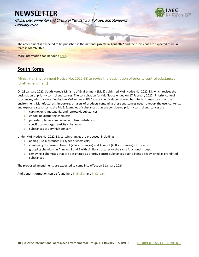

Global Environmental and Chemical Regulations, Policies, and Standards February 2022

The amendment is expected to be published in the national gazette in April 2022 and the provisions are expected to be in force in March 2023.

More information can be foun[d here.](https://www.iaeg.com/binaries/content/assets/iaeg-newsletters/2022/02/sgp_epma-hazardous-substances-amendment.pdf)

# <span id="page-10-0"></span>**South Korea**

## <span id="page-10-1"></span>Ministry of Environment Notice No. 2022-38 to revise the designation of priority control substances (draft amendment)

On 28 January 2022, South Korea's Ministry of Environment (MoE) published MoE Notice No. 2022-38, which revises the designation of priority control substances. The consultation for this Notice ended on 17 February 2022. Priority control substances, which are notified by the MoE under K-REACH, are chemicals considered harmful to human health or the environment. Manufacturers, importers, or users of products containing these substances need to report the use, contents, and exposure scenarios to the MoE. Examples of substances that are considered priority control substances are:

- **»** carcinogenic, mutagenic, and reprotoxic substances
- **»** endocrine disrupting chemicals
- **»** persistent, bio-accumulative, and toxic substances
- **»** specific target organ toxicity substances
- **»** substances of very high concern

Under MoE Notice No. 2022-38, certain changes are proposed, including:

- **»** adding 162 substances (54 types of chemicals)
- **»** combining the current Annex 1 (204 substances) and Annex 2 (468 substances) into one list
- **»** grouping chemicals in Annexes 1 and 2 with similar structures or the same functional groups
- **»** removing 4 chemicals that are designated as priority control substances due to being already listed as prohibited substances

The proposed amendments are expected to come into effect on 1 January 2024.

Additional information can be found here [in English](https://www.iaeg.com/binaries/content/assets/iaeg-newsletters/2022/02/kor_draft-amendments-to-the-designation-of-priority-controlled-substances_english.pdf) and [in Korean.](https://www.iaeg.com/binaries/content/assets/iaeg-newsletters/2022/02/kor_draft-amendments-to-the-designation-of-priority-controlled-substances.pdf)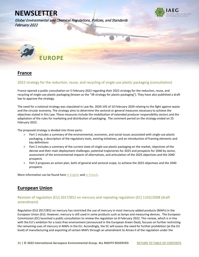Global Environmental and Chemical Regulations, Policies, and Standards February 2022



<span id="page-11-0"></span>

# <span id="page-11-1"></span>**France**

### <span id="page-11-2"></span>2022 strategy for the reduction, reuse, and recycling of single-use plastic packaging (consultation)

France opened a public consultation on 5 February 2022 regarding their 2022 strategy for the reduction, reuse, and recycling of single-use plastic packaging (known as the "3R strategy for plastic packaging"). They have also published a draft law to approve the strategy.

The need for a national strategy was stipulated in Law No. 2020-105 of 10 February 2020 relating to the fight against waste and the circular economy. The strategy aims to determine the sectoral or general measures necessary to achieve the objectives stated in this Law. These measures include the mobilization of extended producer responsibility sectors and the adaptation of the rules for marketing and distribution of packaging. The comment period on the strategy ended on 25 February 2022.

The proposed strategy is divided into three parts:

- **»** Part 1 includes a summary of the environmental, economic, and social issues associated with single-use plastic packaging, a description of the regulatory tools, existing initiatives, and an introduction of framing elements and key definitions
- **»** Part 2 includes a summary of the current state of single-use plastic packaging on the market, objectives of the decree and their main deployment challenges, potential trajectories for 2025 and prospects for 2040 by sector, assessment of the environmental impacts of alternatives, and articulation of the 2025 objectives and the 2040 prospects
- **»** Part 3 proposes an action plan, both of general and sectoral scope, to achieve the 2025 objectives and the 2040 prospects

More information can be found her[e in English](https://www.iaeg.com/binaries/content/assets/iaeg-newsletters/2022/02/fra_draft-decree-for-plastic-packaging_english.pdf) and in French.

# <span id="page-11-3"></span>**European Union**

## <span id="page-11-4"></span>Revision of regulation (EU) 2017/852 on mercury and repealing regulation (EC) 1102/2008 (draft amendment)

Regulation (EU) 2017/852 on mercury has restricted the use of mercury in most mercury-added products (MAPs) in the European Union (EU). However, mercury is still used in some products such as lamps and measuring devices. The European Commission (EC) launched a public consultation to review the regulation on 8 February 2022. This review, which is in line with the EU's ambition for a toxic-free environment (announced in the European Green Deal), focuses on further restricting the remaining uses of mercury in MAPs in the EU. Accordingly, the EC will assess the need for further prohibition (at the EU level) of manufacturing and exporting of certain MAPs through an amendment to Annex II of the regulation under the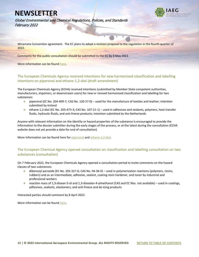

Global Environmental and Chemical Regulations, Policies, and Standards February 2022

Minamata Convention agreement. The EC plans to adopt a revision proposal to the regulation in the fourth quarter of 2022.

Comments for the public consultation should be submitted to the EC by 3 May 2022.

More information can be found [here.](https://ec.europa.eu/info/law/better-regulation/have-your-say/initiatives/12924-Mercury-review-of-EU-law_en)

## <span id="page-12-0"></span>The European Chemicals Agency received intentions for new harmonized classification and labelling intentions on piperonal and ethane-1,2-diol (draft amendment)

The European Chemicals Agency (ECHA) received intentions (submitted by Member State competent authorities, manufacturers, importers, or downstream users) for new or revised harmonized classification and labelling for two substances:

- **»** piperonal (EC No. 204-409-7; CAS No. 120-57-0) used for the manufacture of textiles and leather; intention submitted by Ireland
- **»** ethane-1,2-diol (EC No. 203-473-3; CAS No. 107-21-1) used in adhesives and sealants, polymers, heat transfer fluids, hydraulic fluids, and anti-freeze products; intention submitted by the Netherlands

Anyone with relevant information on the identity or hazard properties of the substance is encouraged to provide the information to the dossier submitter during the early stages of the process, or at the latest during the consultation (ECHA website does not yet provide a date for end of consultation).

More information can be found here fo[r piperonal](https://echa.europa.eu/fi/registry-of-clh-intentions-until-outcome/-/dislist/details/0b0236e187205ab2) and [ethane-1,2-diol.](https://echa.europa.eu/fi/registry-of-clh-intentions-until-outcome/-/dislist/details/0b0236e186f70481)

## <span id="page-12-1"></span>The European Chemical Agency opened consultation on classification and labelling consultation on two substances (consultation)

On 7 February 2022, the European Chemicals Agency opened a consultation period to invite comments on the hazard classes of two substances:

- **»** dibenzoyl peroxide (EC No. 202-327-6; CAS No. 94-36-0) used in polymerization reactions (polymers, resins, rubbers) and as an intermediate, adhesive, sealant, coating resin hardener, and toner by industrial and professional workers
- **»** reaction mass of 1,3-dioxan-5-ol and 1,3-dioxolan-4-ylmethanol (CAS and EC Nos. not available) used in coatings, adhesives, sealants, elastomers, and anti-freeze and de-icing products

Interested parties should comment by 8 April 2022.

More information can be found [here.](https://echa.europa.eu/fi/harmonised-classification-and-labelling-consultation?p_p_id=viewsubstances_WAR_echarevsubstanceportlet&p_p_lifecycle=0&p_p_state=normal&p_p_mode=view&_viewsubstances_WAR_echarevsubstanceportlet_cur=1&_viewsubstances_WAR_echarevsubstanceportlet_delta=50&_viewsubstances_WAR_echarevsubstanceportlet_orderByCol=synonymDynamicField_1350&_viewsubstances_WAR_echarevsubstanceportlet_orderByType=descc)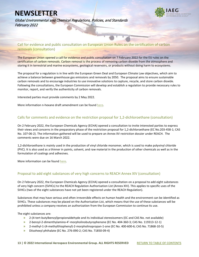

Global Environmental and Chemical Regulations, Policies, and Standards February 2022

<span id="page-13-0"></span>Call for evidence and public consultation on European Union Rules on the certification of carbon removals (consultation)

The European Union opened a call for evidence and public consultation on 7 February 2022 for the EU rules on the certification of carbon removals. Carbon removal is the process of removing carbon dioxide from the atmosphere and storing it in terrestrial and marine ecosystems, geological reservoirs, or products without doing harm to ecosystems.

The proposal for a regulation is in line with the European Green Deal and European Climate Law objectives, which aim to achieve a balance between greenhouse gas emissions and removals by 2050. The proposal aims to ensure sustainable carbon removals and to encourage industries to use innovative solutions to capture, recycle, and store carbon dioxide. Following the consultations, the European Commission will develop and establish a regulation to provide necessary rules to monitor, report, and verify the authenticity of carbon removals.

Interested parties must provide comments by 2 May 2022.

More information n-hexane draft amendment can be found [here.](https://ec.europa.eu/info/law/better-regulation/have-your-say/initiatives/13172-Certification-of-carbon-removals-EU-rules_en)

### <span id="page-13-1"></span>Calls for comments and evidence on the restriction proposal for 1,2-dichloroethane (consultation)

On 2 February 2022, the European Chemicals Agency (ECHA) opened a consultation to invite interested parties to express their views and concerns in the preparatory phase of the restriction proposal for 1,2-dichloroethane (EC No.203-458-1; CAS No. 107-06-2). The information gathered will be used to prepare an Annex XV restriction dossier under REACH. The comments were due on 16 March 2022.

1,2-dichloroethane is mainly used in the production of vinyl chloride monomer, which is used to make polyvinyl chloride (PVC). It is also used as a thinner in paints, solvent, and raw material in the production of other chemicals as well as in the formulation of coatings and adhesives.

More information can be foun[d here.](https://echa.europa.eu/en/calls-for-comments-and-evidence/-/substance-rev/68605/term)

### <span id="page-13-2"></span>Proposal to add eight substances of very high concerns to REACH Annex XIV (consultation)

On 2 February 2022, the European Chemicals Agency (ECHA) opened a consultation on a proposal to add eight substances of very high concern (SVHCs) to the REACH Regulation Authorisation List (Annex XIV). This applies to specific uses of the SVHCs (two of the eight substances have not yet been registered under the REACH Regulation).

Substances that may have serious and often irreversible effects on human health and the environment can be identified as SVHCs. These substances may be placed on the Authorisation List, which means that the use of these substances will be prohibited unless a company receives an authorization from the European Commission to continue its use.

The eight substances are:

- **»** 2-(4-tert-butylbenzyl)propionaldehyde and its individual stereoisomers (EC and CAS No. not available)
- **»** 2-benzyl-2-dimenthylamino-4'-morpholinobutyrophenone (EC No. 404-360-3; CAS No. 119313-12-1)
- **»** 2-methyl-1-(4-methylthiophenyl)-2-morpholinopropan-1-one (EC No. 400-600-6; CAS No. 71868-10-5)
- **»** Diisohexyl phthalate (EC No. 276-090-2; CAS No. 71850-09-4)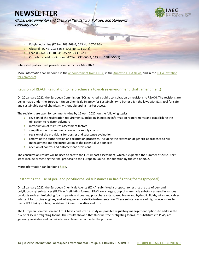Global Environmental and Chemical Regulations, Policies, and Standards February 2022



- **»** Ethylenediamine (EC No. 203-468-6; CAS No. 107-15-3)
- **»** Glutaral (EC No. 203-856-5; CAS No. 111-30-8)
- **»** Lead (EC No. 231-100-4; CAS No. 7439-92-1)
- **»** Orthoboric acid, sodium salt (EC No. 237-560-2; CAS No. 13840-56-7)

Interested parties must provide comments by 2 May 2022.

More information can be found in the [announcement from ECHA,](https://echa.europa.eu/en/recommendation-for-inclusion-in-the-authorisation-list) in the [Annex to ECHA News,](https://echa.europa.eu/documents/10162/0/annex_xiv_recommendation_en.pdf/58093b71-c03b-30ab-76f1-67525c2de48a?t=1643798118878) and in the ECHA invitation [for comments.](https://echa.europa.eu/-/do-you-have-information-on-uses-of-eight-substances-proposed-for-authorisation-)

# <span id="page-14-0"></span>Revision of REACH Regulation to help achieve a toxic-free environment (draft amendment)

On 20 January 2022, the European Commission (EC) launched a public consultation on revisions to REACH. The revisions are being made under the European Union Chemicals Strategy for Sustainability to better align the laws with EC's goal for safe and sustainable use of chemicals without disrupting market access.

The revisions are open for comments (due by 15 April 2022) on the following topics:

- **»** revision of the registration requirements, including increasing information requirements and establishing the obligation to register polymers
- **»** introduction of mixtures assessment factors
- **»** simplification of communication in the supply chains
- **»** revision of the provisions for dossier and substance evaluation
- **»** reform of the authorization and restriction processes, including the extension of generic approaches to risk management and the introduction of the essential use concept
- **»** revision of control and enforcement provisions

The consultation results will be used to create the EC's impact assessment, which is expected the summer of 2022. Next steps include presenting the final proposal to the European Council for adoption by the end of 2022.

More information can be found [here.](https://ec.europa.eu/info/law/better-regulation/have-your-say/initiatives/12959-Chemicals-legislation-revision-of-REACH-Regulation-to-help-achieve-a-toxic-free-environment_en)

### <span id="page-14-1"></span>Restricting the use of per- and polyfluoroalkyl substances in fire-fighting foams (proposal)

On 19 January 2022, the European Chemicals Agency (ECHA) submitted a proposal to restrict the use of per- and polyfluoroalkyl substances (PFAS) in firefighting foams. PFAS are a large group of man-made substances used in various products such as firefighting foams, paints and coating, phosphate ester-based brake and hydraulic fluids, wires and cables, lubricant for turbine engines, and jet engine and satellite instrumentation. These substances are of high concern due to many PFAS being mobile, persistent, bio-accumulative and toxic.

The European Commission and ECHA have conducted a study on possible regulatory management options to address the risk of PFAS in firefighting foams. The results showed that fluorine-free firefighting foams, as substitutes to PFAS, are generally available and technically feasible and effective to the purpose.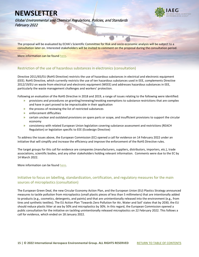

Global Environmental and Chemical Regulations, Policies, and Standards February 2022

The proposal will be evaluated by ECHA's Scientific Committee for Risk and socio-economic analysis will be subject to a consultation later on. Interested stakeholders will be invited to comment on the proposal during the consultation period.

More information can be foun[d here.](https://echa.europa.eu/hr/registry-of-restriction-intentions/-/dislist/details/0b0236e1856e8ce6?utm_source=echa-weekly&utm_medium=email&utm_campaign=weekly&utm_content=20220119&_cldee=ai5hcm9raWFuYXRoYXJAeW9yZGFzZ3JvdXAuY29t&recipientid=lead-fcaa83859a85eb11812a005056b9310e-d5c546250e5449d5ada4b883c48e8509&esid=d4f14fb4-2d79-ec11-8134-005056b9310e)

### <span id="page-15-0"></span>Restriction of the use of hazardous substances in electronics (consultation)

Directive 2011/65/EU (RoHS Directive) restricts the use of hazardous substances in electrical and electronic equipment (EEE). RoHS Directive, which currently restricts the use of ten hazardous substances used in EEE, complements Directive 2012/19/EU on waste from electrical and electronic equipment (WEEE) and addresses hazardous substances in EEE, particularly the waste management challenges and workers' protection.

Following an evaluation of the RoHS Directive in 2018 and 2019, a range of issues relating to the following were identified:

- **»** provisions and procedures on granting/renewing/revoking exemptions to substance restrictions that are complex and have in part proved to be impracticable in their application
- **»** the process of reviewing the list of restricted substances
- **»** enforcement difficulties
- **»** certain unclear and outdated provisions on spare parts or scope, and insufficient provisions to support the circular economy
- **»** consistency with related European Union legislation covering substance assessment and restrictions (REACH Regulation) or legislation specific to EEE (Ecodesign Directive)

To address the issues above, the European Commission (EC) opened a call for evidence on 14 February 2022 under an initiative that will simplify and increase the efficiency and improve the enforcement of the RoHS Directive rules.

The target groups for this call for evidence are companies (manufacturers, suppliers, distributors, importers, etc.), trade associations, scientific bodies, and any other stakeholders holding relevant information. Comments were due to the EC by 14 March 2022.

More information can be foun[d here.](https://ec.europa.eu/info/law/better-regulation/have-your-say/initiatives/13137-Review-Restriction-of-the-use-of-hazardous-substances-in-electronics_en)

### <span id="page-15-1"></span>Initiative to focus on labelling, standardization, certification, and regulatory measures for the main sources of microplastics (consultation)

The European Green Deal, the new Circular Economy Action Plan, and the European Union (EU) Plastics Strategy announced measures to tackle pollution from microplastics (small plastic pieces of less than 5 millimeters) that are intentionally added to products (e.g., cosmetics, detergents, and paints) and that are unintentionally released into the environment (e.g., from tires and synthetic textiles). The EU Action Plan 'Towards Zero Pollution for Air, Water and Soil' states that by 2030, the EU should reduce plastic litter at sea by 50% and microplastics by 30%. In this regard, the European Commission opened a public consultation for the initiative on tackling unintentionally released microplastics on 22 February 2022. This follows a call for evidence, which ended on 18 January 2022.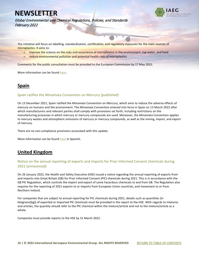

Global Environmental and Chemical Regulations, Policies, and Standards February 2022

The initiative will focus on labelling, standardization, certification, and regulatory measures for the main sources of microplastics. It aims to:

- **»** improve the science on the risks and occurrence of microplastics in the environment, tap water, and food
- **»** reduce environmental pollution and potential health risks of microplastics

Comments for the public consultation must be provided to the European Commission by 17 May 2022.

More information can be foun[d here.](https://ec.europa.eu/info/law/better-regulation/have-your-say/initiatives/12823-Microplastics-pollution-measures-to-reduce-its-impact-on-the-environment_en)

# <span id="page-16-0"></span>**Spain**

### <span id="page-16-1"></span>Spain ratifies the Minamata Convention on Mercury (published)

On 13 December 2021, Spain ratified the Minamata Convention on Mercury, which aims to reduce the adverse effects of mercury on humans and the environment. The Minamata Convention entered into force in Spain on 13 March 2022 after which manufacturers and relevant parties shall comply with provisions set forth, including restrictions on the manufacturing processes in which mercury or mercury compounds are used. Moreover, the Minamata Convention applies to mercury wastes and atmospheric emissions of mercury or mercury compounds, as well as the mining, import, and export of mercury.

There are no non-compliance provisions associated with this update.

More information can be found [here](https://www.boe.es/diario_boe/txt.php?id=BOE-A-2022-1422) in Spanish.

# <span id="page-16-2"></span>**United Kingdom**

# <span id="page-16-3"></span>Notice on the annual reporting of exports and imports for Prior Informed Consent chemicals during 2021 (announced)

On 26 January 2022, the Health and Safety Executive (HSE) issued a notice regarding the annual reporting of exports from and imports into Great Britain (GB) for Prior Informed Consent (PIC) chemicals during 2021. This is in accordance with the GB PIC Regulation, which controls the import and export of some hazardous chemicals to and from GB. The Regulation also requires for the reporting of 2021 exports to or imports from European Union countries, and movement to or from Northern Ireland.

For companies that are subject to annual reporting for PIC chemicals during 2021, details such as quantities (in kilograms[kg]) of exported or imported PIC chemicals must be provided in the report to the HSE. With regards to mixtures and articles, the quantity should refer to the PIC chemical within the mixture/article and not to the mixture/article as a whole.

Companies must provide reports to the HSE by 31 March 2022.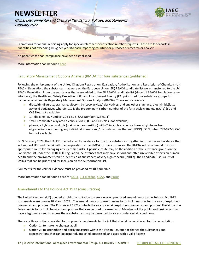

Global Environmental and Chemical Regulations, Policies, and Standards February 2022

Exemptions for annual reporting apply for special reference identification number requests. These are for exports in quantities not exceeding 10 kg per year (to each importing country) for purposes of research or analysis.

No penalties for non-compliance have been established.

More information can be found [here.](https://www.hse.gov.uk/pic/annual-reporting.htm)

### <span id="page-17-0"></span>Regulatory Management Options Analysis (RMOA) for four substances (published)

Following the enforcement of the United Kingdom Registration, Evaluation, Authorisation, and Restriction of Chemicals (UK REACH) Regulation, the substances that were on the European Union (EU) REACH candidate list were transferred to the UK REACH Regulation. From the substances that were added to the EU REACH candidate list (since UK REACH Regulation came into force), the Health and Safety Executive (HSE) and Environment Agency (EA) prioritized four substance groups for further assessment via Regulatory Management Options Analysis (RMOA). These substances are:

- **»** dioctyltin dilaurate, stannane, dioctyl-, bis(coco acyloxy) derivatives, and any other stannane, dioctyl-, bis(fatty acyloxy) derivatives wherein C12 is the predominant carbon number of the fatty acyloxy moiety (DOTL) (EC and CAS Nos. not available)
- **»** 1,4-dioxane (EC Number: 204-661-8; CAS Number: 123-91-1)
- **»** small brominated alkylated alcohols (SBAA) (EC and CAS Nos. not available)
- **»** phenol, alkylation products (mainly in para position) with C12-rich branched or linear alkyl chains from oligomerization, covering any individual isomers and/or combinations thereof (PDDP) (EC Number: 799-972-3; CAS No. not available)

On 9 February 2022, the UK HSE opened a call for evidence for the four substances to gather information and evidence that will support HSE and the EA with the preparation of the RMOA for the substances. The RMOA will recommend the most appropriate route for managing any identified risks. A possible route may be the addition of the substance groups on the Candidate List under the UK REACH Regulation. Substances that may have serious and often irreversible effects on human health and the environment can be identified as substances of very high concern (SVHCs). The Candidate List is a list of SVHCs that can be prioritized for inclusion on the Authorization List.

Comments for the call for evidence must be provided by 10 April 2022.

More information can be found here for **DOTL**, [1,4-dioxane,](https://consultations.hse.gov.uk/crd-reach/1-4-dioxane-rmoa-004/?utm_source=govdelivery&utm_medium=email&utm_campaign=chemicals-guidance&utm_term=consultation-2&utm_content=reach-10-feb-22) [SBAA,](https://consultations.hse.gov.uk/crd-reach/sbaa-rmoa-002/?utm_source=govdelivery&utm_medium=email&utm_campaign=chemicals-guidance&utm_term=consultation-3&utm_content=reach-10-feb-22) and PDDP.

### <span id="page-17-1"></span>Amendments to the Poisons Act 1972 (consultation)

The United Kingdom (UK) opened a public consultation to seek views on proposed amendments to the Poisons Act 1972 (comments were due on 10 March 2022). The amendments propose changes to control measures for the sale of explosives precursors and poisons. The Poisons Act 1972 controls the sale of certain explosives precursors and poisons. The aim of the Poison Act is to control chemicals and poisons that can be used to cause harm. Members of the public and businesses that have a legitimate need to access these substances may be permitted to access under certain conditions.

There are three options provided for proposed amendments to the Act that should be considered for the consultation:

- **»** Option 1: to make no changes at all
- **»** Option 2: to strengthen and clarify measures within the Poison Act, but not change the substances and concentrations that can be acquired, imported, possessed, and used with a valid license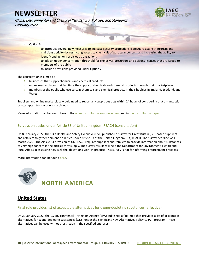

Global Environmental and Chemical Regulations, Policies, and Standards February 2022

- **»** Option 3:
	- **–** to introduce several new measures to increase security protections (safeguard against terrorism and malicious activity) by restricting access to chemicals of particular concern and increasing the ability to identify and act on suspicious transactions
	- **–** to add an upper concentration threshold for explosives precursors and poisons licenses that are issued to members of the public
	- **–** to include provisions provided under Option 2

The consultation is aimed at:

- **»** businesses that supply chemicals and chemical products
- **»** online marketplaces that facilitate the supply of chemicals and chemical products through their marketplaces
- **»** members of the public who use certain chemicals and chemical products in their hobbies in England, Scotland, and Wales

Suppliers and online marketplace would need to report any suspicious acts within 24 hours of considering that a transaction or attempted transaction is suspicious.

More information can be found here in the [open consultation announcement](https://www.gov.uk/government/consultations/amendments-to-the-poisons-act-1972/consultation-paper-amendments-to-the-poisons-act-1972) and i[n the consultation paper.](https://www.gov.uk/government/consultations/amendments-to-the-poisons-act-1972/consultation-paper-amendments-to-the-poisons-act-1972)

### <span id="page-18-0"></span>Surveys on duties under Article 33 of United Kingdom REACH (consultation)

On 8 February 2022, the UK's Health and Safety Executive (HSE) published a survey for Great Britain (GB)-based suppliers and retailers to gather opinions on duties under Article 33 of the United Kingdom (UK) REACH. The survey deadline was 9 March 2022. The Article 33 provision of UK REACH requires suppliers and retailers to provide information about substances of very high concern in the articles they supply. The survey results will help the Department for Environment, Health and Rural Affairs in assessing how well the obligations work in practice. This survey is not for informing enforcement practices.

More information can be found [here.](https://content.govdelivery.com/accounts/UKHSE/bulletins/3099fdd)

<span id="page-18-1"></span>

# <span id="page-18-2"></span>**United States**

### <span id="page-18-3"></span>Final rule provides list of acceptable alternatives for ozone-depleting substances (effective)

On 20 January 2022, the US Environmental Protection Agency (EPA) published a final rule that provides a list of acceptable alternatives for ozone-depleting substances (ODS) under the Significant New Alternatives Policy (SNAP) program. These alternatives can be used without restriction in the specified end-uses.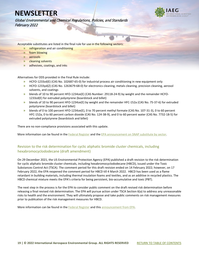Global Environmental and Chemical Regulations, Policies, and Standards February 2022

Acceptable substitutes are listed in the final rule for use in the following sectors:

- **»** refrigeration and air conditioning
- **»** foam blowing
- **»** aerosols
- **»** cleaning solvents
- **»** adhesives, coatings, and inks

Alternatives for ODS provided in the Final Rule include:

- **»** HCFO-1233zd(E) (CAS No. 102687-65-0) for industrial process air conditioning in new equipment only
- **»** HCFO-1233yd(Z) (CAS No. 1263679-68-0) for electronics cleaning, metals cleaning, precision cleaning, aerosol solvents, and coatings
- **»** blends of 10 to 90 percent HFO-1234ze(E) (CAS Number: 29118-24-9) by weight and the remainder HCFO-1233zd(E) for extruded polystyrene (boardstock and billet)
- **»** blends of 10 to 90 percent HFO-1234ze(E) by weight and the remainder HFC-152a (CAS No. 75-37-6) for extruded polystyrene (boardstock and billet)
- **»** blends of 0 to 100 percent HFO-1234ze(E), 0 to 70 percent methyl formate (CAS No. 107-31-3), 0 to 60 percent HFC-152a, 0 to 60 percent carbon dioxide (CAS No. 124-38-9), and 0 to 60 percent water (CAS No. 7732-18-5) for extruded polystyrene (boardstock and billet)

There are no non-compliance provisions associated with this update.

More information can be found in the [Federal Register](https://www.federalregister.gov/documents/2022/01/20/2022-00998/protection-of-stratospheric-ozone-determination-37-for-significant-new-alternatives-policy-program) and th[e EPA announcement on SNAP substitute by sector.](https://www.epa.gov/snap/snap-substitutes-sector)

### <span id="page-19-0"></span>Revision to the risk determination for cyclic aliphatic bromide cluster chemicals, including hexabromocyclododecane (draft amendment)

On 29 December 2021, the US Environmental Protection Agency (EPA) published a draft revision to the risk determination for cyclic aliphatic bromide cluster chemicals, including hexabromocyclododecane (HBCD), issued under the Toxic Substances Control Act (TSCA). The comment period for this draft revision ended on 14 February 2022; however, on 17 February 2022, the EPA reopened the comment period for HBCD till 4 March 2022. HBCD has been used as a flame retardant in building materials, including thermal insulation foams and textiles, and as an additive in recycled plastics. The HBCD chemical mixture meets the EPA's criteria for being persistent, bio-accumulative and toxic (PBT).

The next step in the process is for the EPA to consider public comment on the draft revised risk determination before releasing a final revised risk determination. The EPA will pursue action under TSCA Section 6(a) to address any unreasonable risks to health and the environment. They will ultimately propose and take public comments on risk management measures prior to publication of the risk management measures for HBCD.

More information can be found in the [Federal Register](https://www.federalregister.gov/documents/2022/02/17/2022-03452/cyclic-aliphatic-bromide-cluster-hbcd-draft-revision-to-toxic-substances-control-act-tsca-risk) and this [announcement from EPA.](https://www.epa.gov/chemicals-under-tsca/epa-reopens-comment-period-draft-revised-risk-determination-hbcd)